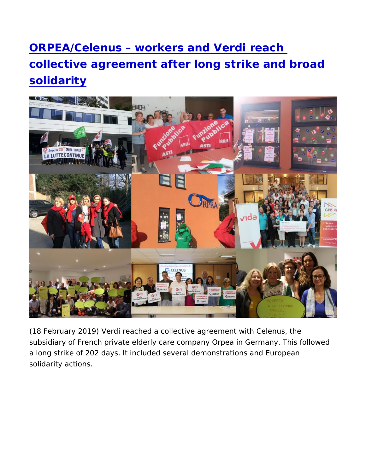[ORPEA/Celenus workers and Ver](https://www.epsu.org/article/orpeacelenus-workers-and-verdi-reach-collective-agreement-after-long-strike-and-broad)di reach [collective agreement after long strike a](https://www.epsu.org/article/orpeacelenus-workers-and-verdi-reach-collective-agreement-after-long-strike-and-broad)nd b [solidari](https://www.epsu.org/article/orpeacelenus-workers-and-verdi-reach-collective-agreement-after-long-strike-and-broad)ty

(18 February 200 ersal) reached a collective agreement with Celenus, subsidiary of French private elderly care company Orpea in Germa a long strike of 202 days. It included several demonstrations and solidarity actions.